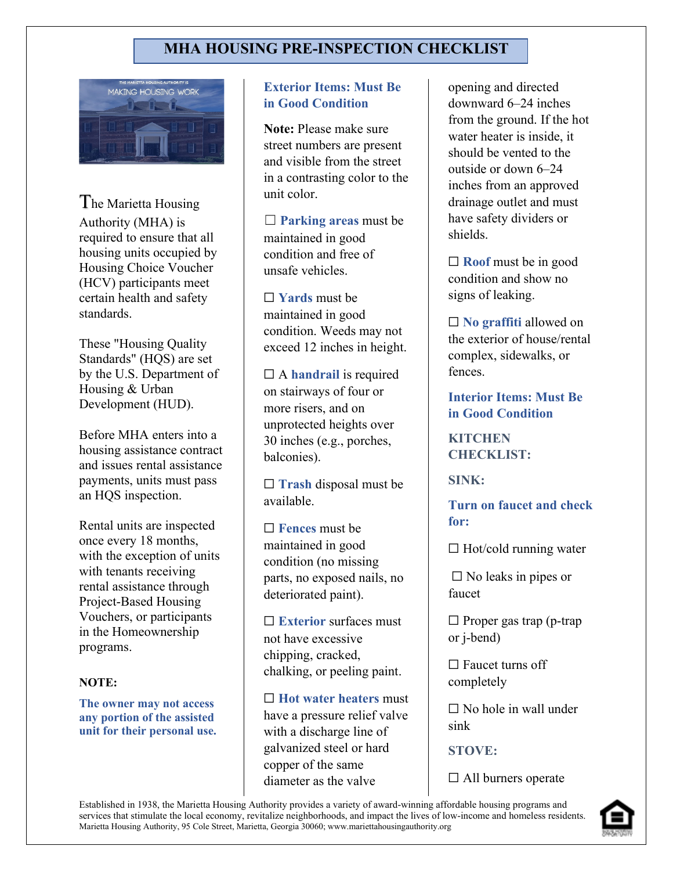# **MHA HOUSING PRE-INSPECTION CHECKLIST**



The Marietta Housing Authority (MHA) is required to ensure that all housing units occupied by Housing Choice Voucher (HCV) participants meet certain health and safety standards.

These "Housing Quality Standards" (HQS) are set by the U.S. Department of Housing & Urban Development (HUD).

Before MHA enters into a housing assistance contract and issues rental assistance payments, units must pass an HQS inspection.

Rental units are inspected once every 18 months, with the exception of units with tenants receiving rental assistance through Project-Based Housing Vouchers, or participants in the Homeownership programs.

#### **NOTE:**

**The owner may not access any portion of the assisted unit for their personal use.**

### **Exterior Items: Must Be in Good Condition**

**Note:** Please make sure street numbers are present and visible from the street in a contrasting color to the unit color.

☐ **Parking areas** must be maintained in good condition and free of unsafe vehicles.

☐ **Yards** must be maintained in good condition. Weeds may not exceed 12 inches in height.

☐ A **handrail** is required on stairways of four or more risers, and on unprotected heights over 30 inches (e.g., porches, balconies).

☐ **Trash** disposal must be available.

☐ **Fences** must be maintained in good condition (no missing parts, no exposed nails, no deteriorated paint).

☐ **Exterior** surfaces must not have excessive chipping, cracked, chalking, or peeling paint.

☐ **Hot water heaters** must have a pressure relief valve with a discharge line of galvanized steel or hard copper of the same diameter as the valve

opening and directed downward 6–24 inches from the ground. If the hot water heater is inside, it should be vented to the outside or down 6–24 inches from an approved drainage outlet and must have safety dividers or shields.

☐ **Roof** must be in good condition and show no signs of leaking.

☐ **No graffiti** allowed on the exterior of house/rental complex, sidewalks, or fences.

**Interior Items: Must Be in Good Condition**

**KITCHEN CHECKLIST:** 

**SINK:**

**Turn on faucet and check for:** 

 $\Box$  Hot/cold running water

 $\square$  No leaks in pipes or faucet

 $\Box$  Proper gas trap (p-trap or j-bend)

□ Faucet turns off completely

 $\Box$  No hole in wall under sink

**STOVE:** 

 $\Box$  All burners operate

Established in 1938, the Marietta Housing Authority provides a variety of award-winning affordable housing programs and services that stimulate the local economy, revitalize neighborhoods, and impact the lives of low-income and homeless residents. Marietta Housing Authority, 95 Cole Street, Marietta, Georgia 30060; www.mariettahousingauthority.org

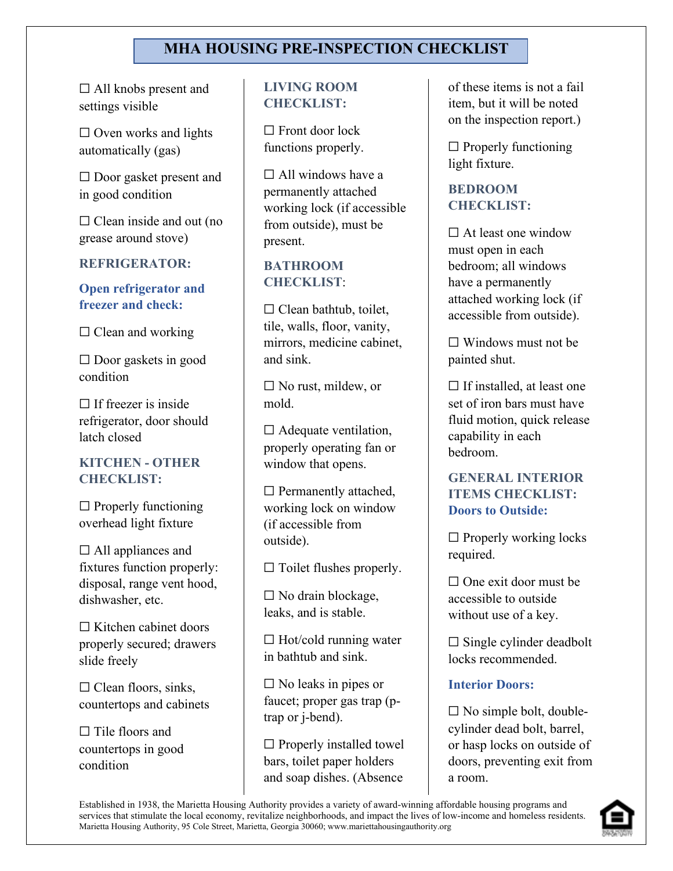# **MHA HOUSING PRE-INSPECTION CHECKLIST**

□ All knobs present and settings visible

 $\Box$  Oven works and lights automatically (gas)

□ Door gasket present and in good condition

 $\Box$  Clean inside and out (no grease around stove)

#### **REFRIGERATOR:**

# **Open refrigerator and freezer and check:**

 $\Box$  Clean and working

 $\square$  Door gaskets in good condition

 $\Box$  If freezer is inside refrigerator, door should latch closed

# **KITCHEN - OTHER CHECKLIST:**

 $\Box$  Properly functioning overhead light fixture

 $\Box$  All appliances and fixtures function properly: disposal, range vent hood, dishwasher, etc.

 $\Box$  Kitchen cabinet doors properly secured; drawers slide freely

 $\Box$  Clean floors, sinks, countertops and cabinets

□ Tile floors and countertops in good condition

# **LIVING ROOM CHECKLIST:**

 $\Box$  Front door lock functions properly.

 $\Box$  All windows have a permanently attached working lock (if accessible from outside), must be present.

#### **BATHROOM CHECKLIST**:

 $\Box$  Clean bathtub, toilet, tile, walls, floor, vanity, mirrors, medicine cabinet, and sink.

 $\Box$  No rust, mildew, or mold.

 $\Box$  Adequate ventilation, properly operating fan or window that opens.

 $\Box$  Permanently attached, working lock on window (if accessible from outside).

 $\Box$  Toilet flushes properly.

 $\Box$  No drain blockage, leaks, and is stable.

 $\Box$  Hot/cold running water in bathtub and sink.

 $\square$  No leaks in pipes or faucet; proper gas trap (ptrap or j-bend).

 $\Box$  Properly installed towel bars, toilet paper holders and soap dishes. (Absence

of these items is not a fail item, but it will be noted on the inspection report.)

 $\Box$  Properly functioning light fixture.

# **BEDROOM CHECKLIST:**

 $\Box$  At least one window must open in each bedroom; all windows have a permanently attached working lock (if accessible from outside).

 $\Box$  Windows must not be painted shut.

 $\Box$  If installed, at least one set of iron bars must have fluid motion, quick release capability in each bedroom.

# **GENERAL INTERIOR ITEMS CHECKLIST: Doors to Outside:**

 $\Box$  Properly working locks required.

 $\Box$  One exit door must be accessible to outside without use of a key.

 $\Box$  Single cylinder deadbolt locks recommended.

# **Interior Doors:**

 $\Box$  No simple bolt, doublecylinder dead bolt, barrel, or hasp locks on outside of doors, preventing exit from a room.

Established in 1938, the Marietta Housing Authority provides a variety of award-winning affordable housing programs and services that stimulate the local economy, revitalize neighborhoods, and impact the lives of low-income and homeless residents. Marietta Housing Authority, 95 Cole Street, Marietta, Georgia 30060; www.mariettahousingauthority.org